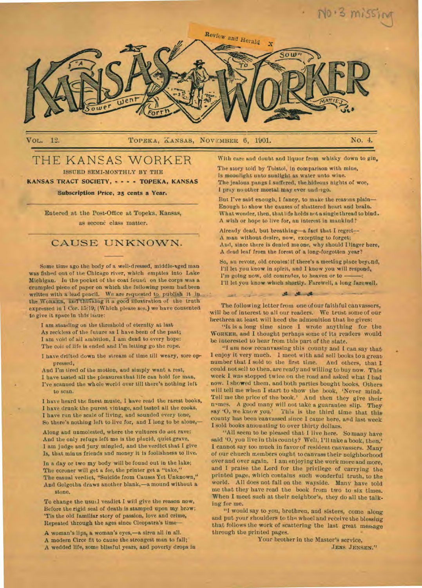

12. TOPEKA, KANSAS, NOVEMBER 6, 1901. No. 4.

# THE KANSAS WORKER

ISSUED SEMI-MONTHLY BY THE

KANSAS TRACT SOCIETY, - - - - TOPEKA, KANSAS

# Subscription Price, 25 cents a Year.

Entered at the Post Office at Topeka, Kansas, as seconc class matter.

# CAUSE UNKNOWN.

Some time ago the body of a well-dressed, middle-aged man was fished out of the Chicago river, which empties into Lake Michigan. In the pocket of the coat found on the corps was a crumpled piece of paper on which the following poem had been written with a lead pencil. We are requested to publish it in the WORKER, and thinking it a good illustration of the truth expressed in 1 Cor. 15:19, (Which please see,) we have consented to give it space in this issue:

I am standing on the threshold of eternity at last As reckless of the future as I have been of the past; I am void of all ambition, I am dead to every hope: The coil of life is ended and I'm letting go the rope.

I have drifted down the stream of time till weary, sore oppressed,

And I'm tired of the motion, and simply want a rest, I have tasted all the pleasures that life can hold for man, I've scanned the whole world over till there's nothing left. to scan.

I have heard the finest music, I have read the rarest books, I have drunk the purest vintage, and tasted all the cooks, I have run the scale of living, and sounded every tone, So there's nothing left to live for, and I long to be alone,-

Along and unmolested, where the vultures do not rave: And the only refuge left me is the placid, quiet grave, I am judge and jury mingled, and the verdict that I give Is, that minus friends and money it is foolishness to live.

In a day or two my body will be found out in the lake; The coroner will get a fee, the printer get a "take," The casual verdict, "Suicide from Causes Yet Unknown," And Golgotha draws another blank,—a mound without a stone.

To change the usuil veadict I will give the reason now, Before the rigid seal of death is stamped upon my brow; 'Tis the old familiar story of passion, love and crime, Repeated through the ages since Cleopatra's time—

A woman's lips, a woman's eyes,-a siren all in all. A modern Circe fit to cause the strongest man to fall; A wedded life, some blissful years, and poverty drops in With care and doubt and liquor from whisky down to gin,

The story told by Tolstoi, in comparison with mine, Is moonlight unto sunlight as water unto wine. The jealous pangs I suffered, the hideous nights of woe, I pray no other mortal may ever uud-rgo.

But I've said enough, I fancy, to make the reasons plain-Enough to show the causes of shattered heart and brain. What wonder, then, that life holds not a single thread to bind. A wish or hope to live for, an interest in mankind?

Already dead, but breathing—a fact that I regret— A man without desire, now, excepting to forget; And, since there is denied me one, why should I linger here, A dead leaf from the forest of a long-forgotten year?

So, au revoir, old cronies: if there's a meeting place beyond, I'll let you know in spirit, and I know you will respond, I'm going now, old comrades, to heaven or to --I'll let you know which shortly. Farewell, a long farewell.

The following letter from one of our faithful canvassers, will *be* of interest to all our readers. We trust some of our brethren at least will heed the admonition that he gives:

, , \_ - • ahead!. - —

"It is a long time since I wrote anything for the **WORKER,** and I thought perhaps some of its readers would be interested to hear from this part of the state.

"I am now recanvassing this county and I can say that I enjoy it very much. I meet with and sell books to a great number that I sold to the first time. And others, that **I**  could not sell to then, are ready and willing to buy now. This week I was stopped twice on the road and asked what I had now. I showed them, and both parties bought books. Others will tell me when I start to show the book, 'Never mind. Tell me the price of the book.' And then they give their names. A good many will not take a guarantee slip. They say '0, we know you.' This is the third time that this county has been canvassed since I came here, and last week I sold books amounting to over thirty dollars.

"All seem to be pleased that I live here. So many have said '0, you live in this county? Well, 1'11 take a book, then.' I cannot say too much in favor of resident canvassers. Many of our church members ought to canvass their neighborhood over and over again. I am enjoying the work more and more, and I praise the Lord for the privilege of carrying the printed page, which contains such wonderful truth, to the world. All does not fall on the wayside. Many have told me that they have read the book from two to six times. When I meet such at their neighbor's, they do all the talking for me.

"I would say to you, brethren, and sisters, come along and put your shoulders to the wheel and receive the blessing that follows the work of scattering the last great message through the printed pages.

Your brother in the Master's service, **JENS** JENSEN."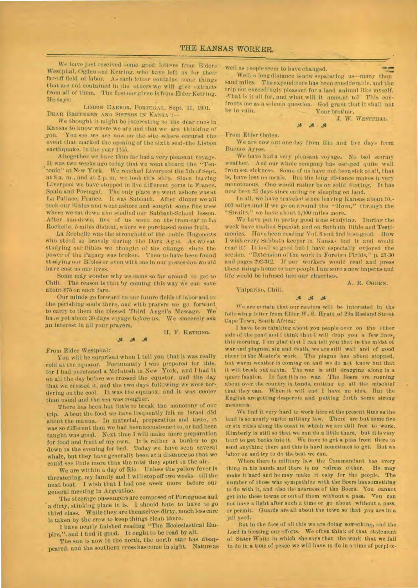We have just received some good letters from Elders Westphal, Ogden and Ketriug. who have left us for their far-off field of labor. As each letter contains some things that are not contained in the others we will give extracts from all of them. The first one given is from Elder Ketring. He says:

LISBON HARBOR, PORTUGAL. Sept. 11, 1901. DEAR BRETHREN AND SISTERS IN KANSA

We thought it might be interesting to the dear ones in Kansas to know where we are and that we are thinking of you. You see we are now on the site where occured the You see we are now on the site where occured the event that marked the opening of the sixth seal-the Lisbon earthquake. in the year 1755.

Altogether we have thus far had a very pleasant voyage. It was two weeks ago today that we went aboard the "Teu tonic" at New York. We reached Liverpool the 5th of Sept. at 8 a. m., and at 2 p. m. we took this ship. Since leaving Liverpool we have stopped in five different ports in France, Spain and Portugal. The only place we went ashore was at La Pallace, France. It was Sabbath. After dinner we all took our Bibles and went ashore and sought some fine trees where we sat down ann studied our Sabbath-School lesson. After sun-down, five of us went on the tram-car to La Rochelle, 5 miles distant, where we purchased some fruit.

La Rochelle was the stronghold of the noble Hugonotts who stood so bravely during the Dark Ages. As we sat studying our Bib:es we thought of the change since the power of the Papacy was broken. Then to have been found studying our Bibles or even with one in our possession would have cost us our lives.

Some may wonder why we came so far around to get to Chili. The reason is that by coming this way we can save • about \$75 on each fare.

Our minds go forward to our future fields of labor and to the perishing souls there, and with prayers we go forward. to carry to them the blessed Third Angel's Message. We have yet about 30 days voyage before us. We sincerely ask an interest in all your prayers.

 $36 - 35$ 

II. F. KETRINO.

## From Elder Westphal:

You will be surprised when I tell you that it was really cold at the equator. Fortunately I was prepared for this, for I had purchased a McIntosh in New York, and I had it On all the day before we crossed the equator, and the day that we crossed it, and the two days following we were bordering on the cool. It was the equinox, and it was cooler than usual and the sea was rougher.

There has been but little to break the monotony of our trip. About the food we have frequently felt as Israel did about the manna. In material, preparation and taste, it was so different than we had been accustomed to, or had been taught was good. Next time I will make more preparation for food and fruit of my own. It is rather a burden to go down in the evening for bed. Today we have seen several whale, but they have generally been at a distance so that we could see little more than the mist they spurt in the air.

We are within a day of Rio. Unless the yellow fever is threatening, my family and I will stop off two weeks—till the next boat. I wish that I had one week more before our general meeting in Argentine.

The steerage passengers are composed of Portuguese and a dirty, stinking place it is. 1 should hate to have to go third class. While they are themselves dirty, much less care is taken by the crew to keep things clean there.

I have nearly finished reading "The Ecclesiastical Empire," and I find it good. It ought to be read by all.

The sun is now in the north, the north star has disappeared, and the southern cross has come insight. Nature as

-well as people seem to have changed.

as beople seem to nave changed.<br>Well, a long distance is now separating us—many thou sand miles. The expenditure has been considerable, and the trip not exceedingly pleasant for a land animal like myself. a-hat is it all for, and what will it amot.nt to? This confronts me as a solemn question. God grant that it shall not Your brother,

J. W. WESTPHAL.

-From Elder Ogden.

We are now out one day from Rio and five days from Buenos Ayres.

.4 .4

We have had a very pleasant voyage. No bad stormy weather. And our whole company has escaped quite well from sea sickness. Some of us have not been sick at all, that is, have lost no meals. But the long distance makes it very monotonous. One would rather be on solid footing. It has now been 25 days since eating or sleeping on land.

In all, we have traveled since leaving Kansas about 10,-000 miles and if we go on around the "Horn," through the "Straits," we have about 5,000 miles more.

We have put in pretty good time studying. During the week have studied Spanish and on Sabbath Bible and Testimonies. Have been reading Vol. 6 and find it so good. How I wish every Sabbath keeper in Kansas had it and would read it! It is all so good but I have especially enjoyed the section, "Extension of the work in Foreign Fields," p. 23-30 and pages 292-312. If our workers would read and press these things home to our people I am sure a new impetus and life would be infused into our churches.

Valpariso, Chili.

A. R. OGDEN.

Jg J5 We are certain that our readers will be interested in the following letter from Elder W. S. Hyatt of 23a Roeland Street

Cape Town, South Africa: I have been thinking about you people over on the other side of the pond and I think that I will drop you a few lines. this morning. I am glad that I can tell you that in the midst of war and plagues, sin and death, we are still well and of good cheer in the Master's work. The plague has about stopped. but warm weather is coming on and we do not know but that it will break out again. The war is still dragging along in a queer fashion. In fact it is no war. The Boers are running about over the couctry in bands, cutting up all the mischief that they can. When it will end I have no idea. But the English are getting desperate and putting forth some strong measures.

We find it very hard to work here at the present time us the land is so nearly under military law. There are but some five or six cities along the coast in which we are still free to work. Kimberly is still so that we can do a little there, but it is very hard to get books into it. We have to get a pass from there to send anything there and this is hard sometimes to get. But we labor on and try to do the best we can.

Where there is military law the Commandant has every thing in his hands and there is no redress either. He may make it hard and he may make it easy for the people. The number of those who sympathize with the Boers has something to do with it, and also the nearness of the Boers. You cannot get into these towns or out of them without a pass. Vou can not have a light after such a time or go about without a pass, or permit. Guards are all about the town so that you are in a jail yard.

But in the face of all this we are doing something, and the Lord is blessing our efforts. We often think of that statement of Sister White in which she says that the work that we fall to do in a time of peace we will have to do in a time of perplex-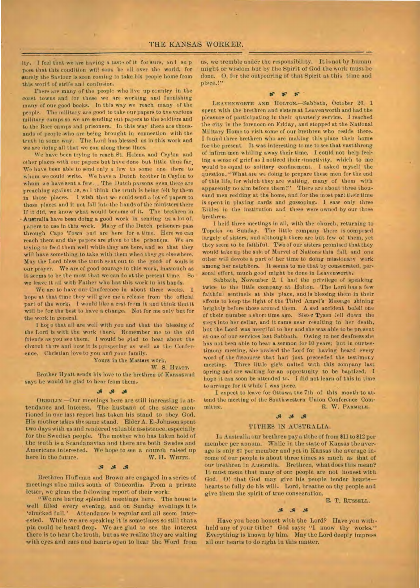ity. I feel that we are having a taste of it for sure, an 1 so p pose that this condition will soon be nil over the world, for surely the Saviour is soon coming to take his people home from this world of strife and confusion.

There are many of the people who live up ccuntry in the coast towns and for these we are working and furnishing many of our good books. in this way we reach many of the people. The military are good to take our papers to tne various military camps so we are sending out papers to the soldiers and to the Boer camps and prisoners. In this way there are thousands of people who are being brought in connection with the truth in some way. The Lord has blessed us in this work and we are doing all that we can along these lines.

We have been trying to reach St. Helena and Ceylon and other places with our papers but have done but little thus far. We have been able to send only a few to some one there to whom we could write. We have a Dutch brother in Ceylon to whom we have sent a few. , The Dutch parsons even there are preaching against as, so I think the truth is being felt by them in those places. I wish that we could send a lot of papers to those places and it not fall into the hands of the ministers there If it did, we know what would become of it. The brethren in Australia have been doing a good work in sending us a lot of. papers to use in this work. Many of the Dutch prisoners pass through Cape Town and are here for a time. Here we can reach them and the papers are given to the prisoners. We are trying to feed them well while they are here, and so that they will have something to take with them when they go elsewhere. May the Lord bless the truth sent out to the good of souls is our prayer. We are of good courage in this work, inasmuch as it seems to be the most that we can do at the present time. So we leave it all with Father who has this work in his hands.

We are to have our Conference in about three weeks. I hope at that time they will give me a release from the official part of the work. I would like a rest from it and think that it will be for the best to have a change. Not for me only but for the work in general.

I hot e that all are well with you and that the blessing of the Lord is with the work there. Remember me to the old friends as you see them. I would be glad to hear about the church there and how it is prospering as well as the Conference. Christian love to you and your family.

### Yours in the Masters work,

#### W. S. HYATT.

Brother Hyatt sends his love to the brethren of Kansas and says he would be glad to hear from them..

#### $M$  $\mathcal{L}$

**OBERLIN.—Our** meetings here are still increasing in attendance and interest. The husband of the sister mentioned in our last report has taken his stand to obey God. His mother takes the same stand. Elder A. E..Johnson spent two days with us and rendered valuable assistence, especially for the Swedish people. The mother who has taken hold of the truth is a Scandanavian and there are both Swedes and Americans interested. We hope to see a church raised up<br>here in the future. W. H. WHITE. here in the future.

### **<sup>45</sup>**at

Brethren Huffman and Brown are engaged in a series of meetings nine miles south of Concordia. From a private letter, we glean the following report of their work:

"We are having splendid meetings here. The house is well filled every evening, and on Sunday evenings it is 'chucked full.' Attendance is regular and all seem inter ested. While we are speaking it is sometimes so still that a pin could be heard drop. We are glad to see the interest there is to hear the truth, but as we realize they are waiting with eyes and ears and hearts open to hear the Word from

us, we tremble under the responsibility. It is not by human might. or wisdom but by the Spirit of God the work must be done. O, for the outpouring of that Spirit at this time and place.!"

#### **or se if •**

**LEA VENWORTH AND HOLTON.—Sabbath,** October 26, 1 spent with the brethren and sisters et Leavenworth and had the pleasure of participating in their quarterly service. I reached the city in the forenoon on Friday, and stopped at the National Military Home to visit some of our brethren who reside there. I found three brethren who are making this place their home for the present. It was interesting to me to see that vast throng of infirm men whiling away their time. I could not help feeling a sense of grief as I noticed their dnactivity, which to me would be equal to solitary confinement. I asked myself the question, "What are we doing to prepare these men for the end of this life, for which they are waiting, many of them with apparently no aim before them?" There are about three thousand men residing at the home, and for the most part their time is spent in playing cards and gossoping. I saw only three Bibles in the institution and these were owned by our three brethren.

I held three meetings in all, with the church, returning to Topeka on Sunday. The little company there is composed largely of sisters, and although there are but few of them, yet they seem to be faithful. Two of our sisters promised that they would take up the sale of Marvel of Nations this fall, and one other will devote a part of her time to doing missionary work among her neighbors. It seems to me that by consecrated, personal effort, much good might be done in Leavenworth.

Sabbath, November 2, I had the privilege of speaking twice to the little company at Holton. The Lord has a few faithful sentinels at this place, and is blessing them in their efforts to keep the light of the Third Angel's Message shining brightly before those around them. A sad accident befell one of their number a short time ago. Sister Tysen !ell down the steps into her cellar, and it came near resulting in her death, but the Lord was merciful to her and she was able to be present at one of our services last Sabbath. Owing to her deafness she has not been able to hear a sermon for 10 years; but in our testimony meeting, she praised the Lord for having heard every word of the discourse that had just preceeded the testimony meeting. Three little girls united with this company last spring and are waiting for an opportunity to be baptized. I hope it can soon be attended to. I did not learn of this in time to arrange for it while I was there.

I expect to leave for Ottawa the 7th of this month to attend the meeting of the Southwestern Union Conference Committee. R. W. PARMELE.

#### $36$   $36$   $36$

### TITHES IN AUSTRALIA.

In Australia our brethren pay a tithe of from 811 to \$12 per member per annum. While in the slate of Kansas the average is only \$7 per member and yet in Kansas the average income of our people is about three times as much as that of our brethren in Australia. Brethren, what does this mean? It must mean that many of our people are not honest with God. 0! that God may give his people tender hearts hearts to fully do his will. Lord, breathe on thy people and give them the spirit of true consecration.

# E. T. RUSSELL.

Have you been honest with the Lord? Have you withheld any of your tithe? God says; "1 know thy works." Everything is known by him. May the Lord deeply impress all our hearts to do right in this matter.